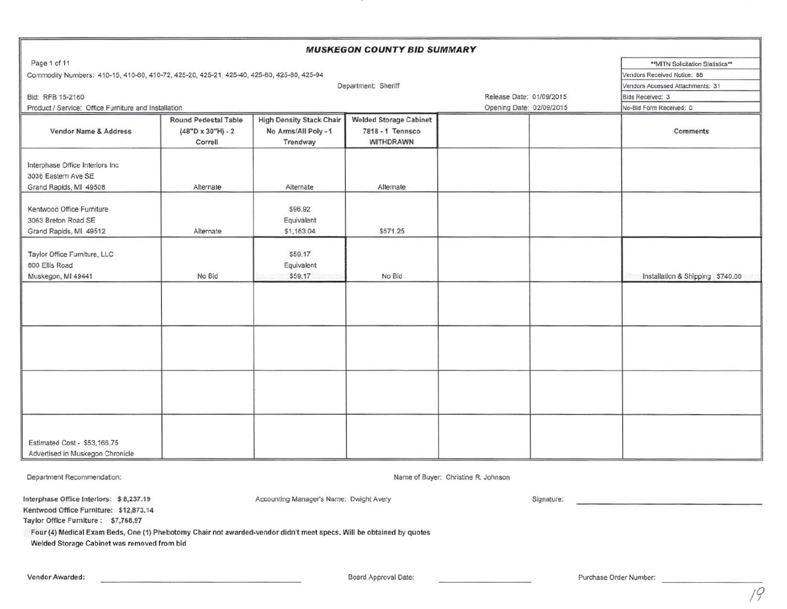| Page 1 of 11<br>** MITN Solicitation Statistics**<br>Commodity Numbers: 410-15, 410-60, 410-72, 425-20, 425-21, 425-40, 425-60, 425-80, 425-94<br>Vendors Received Notice: 88<br>Department: Sheriff<br>Vendors Accessed Attachments: 31<br>Release Date: 01/09/2015<br>Bid: RFB 15-2160<br>Bids Received: 3<br>Product / Service: Office Furniture and Installation<br>Opening Date: 02/09/2015<br>No-Bid Form Received: 0<br><b>High Density Stack Chair</b><br><b>Welded Storage Cabinet</b><br><b>Round Pedestal Table</b><br>No Arms/All Poly - 1<br>7818 - 1 Tennsco<br>Vendor Name & Address<br>$(48"D \times 30"H) - 2$<br>Comments<br>WITHDRAWN<br>Trendway<br>Correll<br>Interphase Office Interiors Inc<br>3036 Eastern Ave SE<br>Grand Rapids, MI 49508<br>Alternate<br>Alternate<br>Alternate<br>Kentwood Office Furniture<br>\$96.92<br>3063 Breton Road SE<br>Equivalent<br>\$571.25<br>Grand Rapids, MI 49512<br>Alternate<br>\$1,163.04<br>Taylor Office Furniture, LLC<br>\$59.17<br>800 Ellis Road<br>Equivalent<br>No Bid<br>\$59.17<br>No Bid<br>Muskegon, MI 49441<br>Installation & Shipping \$740,00 | <b>MUSKEGON COUNTY BID SUMMARY</b> |  |  |  |  |  |  |  |  |
|------------------------------------------------------------------------------------------------------------------------------------------------------------------------------------------------------------------------------------------------------------------------------------------------------------------------------------------------------------------------------------------------------------------------------------------------------------------------------------------------------------------------------------------------------------------------------------------------------------------------------------------------------------------------------------------------------------------------------------------------------------------------------------------------------------------------------------------------------------------------------------------------------------------------------------------------------------------------------------------------------------------------------------------------------------------------------------------------------------------------------|------------------------------------|--|--|--|--|--|--|--|--|
|                                                                                                                                                                                                                                                                                                                                                                                                                                                                                                                                                                                                                                                                                                                                                                                                                                                                                                                                                                                                                                                                                                                              |                                    |  |  |  |  |  |  |  |  |
|                                                                                                                                                                                                                                                                                                                                                                                                                                                                                                                                                                                                                                                                                                                                                                                                                                                                                                                                                                                                                                                                                                                              |                                    |  |  |  |  |  |  |  |  |
|                                                                                                                                                                                                                                                                                                                                                                                                                                                                                                                                                                                                                                                                                                                                                                                                                                                                                                                                                                                                                                                                                                                              |                                    |  |  |  |  |  |  |  |  |
|                                                                                                                                                                                                                                                                                                                                                                                                                                                                                                                                                                                                                                                                                                                                                                                                                                                                                                                                                                                                                                                                                                                              |                                    |  |  |  |  |  |  |  |  |
|                                                                                                                                                                                                                                                                                                                                                                                                                                                                                                                                                                                                                                                                                                                                                                                                                                                                                                                                                                                                                                                                                                                              |                                    |  |  |  |  |  |  |  |  |
|                                                                                                                                                                                                                                                                                                                                                                                                                                                                                                                                                                                                                                                                                                                                                                                                                                                                                                                                                                                                                                                                                                                              |                                    |  |  |  |  |  |  |  |  |
|                                                                                                                                                                                                                                                                                                                                                                                                                                                                                                                                                                                                                                                                                                                                                                                                                                                                                                                                                                                                                                                                                                                              |                                    |  |  |  |  |  |  |  |  |
|                                                                                                                                                                                                                                                                                                                                                                                                                                                                                                                                                                                                                                                                                                                                                                                                                                                                                                                                                                                                                                                                                                                              |                                    |  |  |  |  |  |  |  |  |
|                                                                                                                                                                                                                                                                                                                                                                                                                                                                                                                                                                                                                                                                                                                                                                                                                                                                                                                                                                                                                                                                                                                              |                                    |  |  |  |  |  |  |  |  |
|                                                                                                                                                                                                                                                                                                                                                                                                                                                                                                                                                                                                                                                                                                                                                                                                                                                                                                                                                                                                                                                                                                                              |                                    |  |  |  |  |  |  |  |  |
|                                                                                                                                                                                                                                                                                                                                                                                                                                                                                                                                                                                                                                                                                                                                                                                                                                                                                                                                                                                                                                                                                                                              |                                    |  |  |  |  |  |  |  |  |
|                                                                                                                                                                                                                                                                                                                                                                                                                                                                                                                                                                                                                                                                                                                                                                                                                                                                                                                                                                                                                                                                                                                              |                                    |  |  |  |  |  |  |  |  |
|                                                                                                                                                                                                                                                                                                                                                                                                                                                                                                                                                                                                                                                                                                                                                                                                                                                                                                                                                                                                                                                                                                                              |                                    |  |  |  |  |  |  |  |  |
|                                                                                                                                                                                                                                                                                                                                                                                                                                                                                                                                                                                                                                                                                                                                                                                                                                                                                                                                                                                                                                                                                                                              |                                    |  |  |  |  |  |  |  |  |
|                                                                                                                                                                                                                                                                                                                                                                                                                                                                                                                                                                                                                                                                                                                                                                                                                                                                                                                                                                                                                                                                                                                              |                                    |  |  |  |  |  |  |  |  |
|                                                                                                                                                                                                                                                                                                                                                                                                                                                                                                                                                                                                                                                                                                                                                                                                                                                                                                                                                                                                                                                                                                                              |                                    |  |  |  |  |  |  |  |  |
|                                                                                                                                                                                                                                                                                                                                                                                                                                                                                                                                                                                                                                                                                                                                                                                                                                                                                                                                                                                                                                                                                                                              |                                    |  |  |  |  |  |  |  |  |
|                                                                                                                                                                                                                                                                                                                                                                                                                                                                                                                                                                                                                                                                                                                                                                                                                                                                                                                                                                                                                                                                                                                              |                                    |  |  |  |  |  |  |  |  |
|                                                                                                                                                                                                                                                                                                                                                                                                                                                                                                                                                                                                                                                                                                                                                                                                                                                                                                                                                                                                                                                                                                                              |                                    |  |  |  |  |  |  |  |  |
|                                                                                                                                                                                                                                                                                                                                                                                                                                                                                                                                                                                                                                                                                                                                                                                                                                                                                                                                                                                                                                                                                                                              |                                    |  |  |  |  |  |  |  |  |
|                                                                                                                                                                                                                                                                                                                                                                                                                                                                                                                                                                                                                                                                                                                                                                                                                                                                                                                                                                                                                                                                                                                              |                                    |  |  |  |  |  |  |  |  |
|                                                                                                                                                                                                                                                                                                                                                                                                                                                                                                                                                                                                                                                                                                                                                                                                                                                                                                                                                                                                                                                                                                                              |                                    |  |  |  |  |  |  |  |  |
|                                                                                                                                                                                                                                                                                                                                                                                                                                                                                                                                                                                                                                                                                                                                                                                                                                                                                                                                                                                                                                                                                                                              |                                    |  |  |  |  |  |  |  |  |
|                                                                                                                                                                                                                                                                                                                                                                                                                                                                                                                                                                                                                                                                                                                                                                                                                                                                                                                                                                                                                                                                                                                              |                                    |  |  |  |  |  |  |  |  |
|                                                                                                                                                                                                                                                                                                                                                                                                                                                                                                                                                                                                                                                                                                                                                                                                                                                                                                                                                                                                                                                                                                                              |                                    |  |  |  |  |  |  |  |  |
|                                                                                                                                                                                                                                                                                                                                                                                                                                                                                                                                                                                                                                                                                                                                                                                                                                                                                                                                                                                                                                                                                                                              |                                    |  |  |  |  |  |  |  |  |
|                                                                                                                                                                                                                                                                                                                                                                                                                                                                                                                                                                                                                                                                                                                                                                                                                                                                                                                                                                                                                                                                                                                              |                                    |  |  |  |  |  |  |  |  |
|                                                                                                                                                                                                                                                                                                                                                                                                                                                                                                                                                                                                                                                                                                                                                                                                                                                                                                                                                                                                                                                                                                                              |                                    |  |  |  |  |  |  |  |  |
|                                                                                                                                                                                                                                                                                                                                                                                                                                                                                                                                                                                                                                                                                                                                                                                                                                                                                                                                                                                                                                                                                                                              |                                    |  |  |  |  |  |  |  |  |
|                                                                                                                                                                                                                                                                                                                                                                                                                                                                                                                                                                                                                                                                                                                                                                                                                                                                                                                                                                                                                                                                                                                              |                                    |  |  |  |  |  |  |  |  |
| Estimated Cost - \$53,166.75                                                                                                                                                                                                                                                                                                                                                                                                                                                                                                                                                                                                                                                                                                                                                                                                                                                                                                                                                                                                                                                                                                 |                                    |  |  |  |  |  |  |  |  |
| Advertised in Muskegon Chronicle                                                                                                                                                                                                                                                                                                                                                                                                                                                                                                                                                                                                                                                                                                                                                                                                                                                                                                                                                                                                                                                                                             |                                    |  |  |  |  |  |  |  |  |

Department Recommendation: Name of Buyer: Christine R. Johnson

Interphase Office Interiors: S 8,237.19

Kentwood Office Furniture: \$12,873.14

Taylor Office Furniture: \$7,768.97

Four (4) Medical Exam Beds, One (1) Phebotomy Chair not awarded-vendor didn't meet specs. Will be obtained by quotes

Welded Storage Cabinet was removed from bid

Accounting Manager's Name: Dwight Avery

Signature: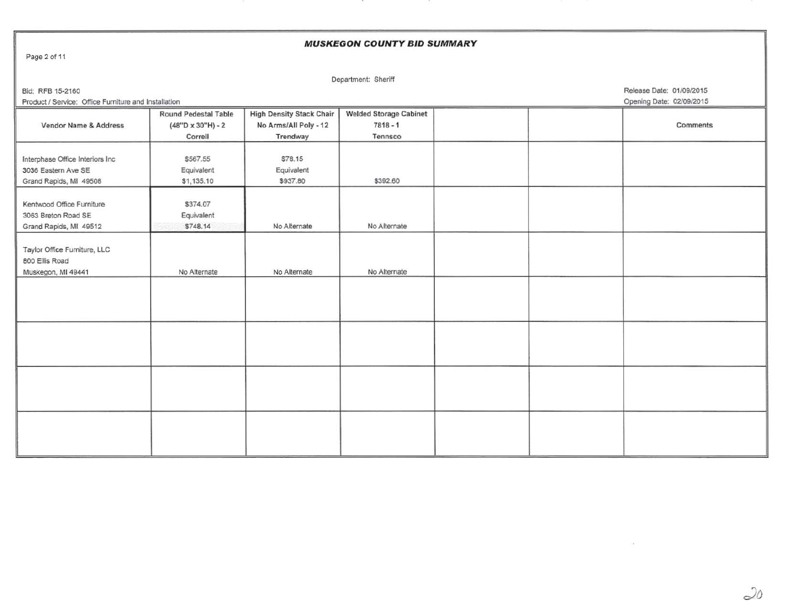| Page 2 of 11<br>Department: Sheriff<br>Release Date: 01/09/2015<br>Bid: RFB 15-2160<br>Product / Service: Office Furniture and Installation<br>Opening Date: 02/09/2015<br><b>Welded Storage Cabinet</b><br><b>High Density Stack Chair</b><br>Round Pedestal Table<br>$(48"D \times 30"H) - 2$<br>No Arms/All Poly - 12<br>$7818 - 1$<br>Vendor Name & Address<br>Comments | <b>MUSKEGON COUNTY BID SUMMARY</b> |         |          |         |  |  |  |  |
|-----------------------------------------------------------------------------------------------------------------------------------------------------------------------------------------------------------------------------------------------------------------------------------------------------------------------------------------------------------------------------|------------------------------------|---------|----------|---------|--|--|--|--|
|                                                                                                                                                                                                                                                                                                                                                                             |                                    |         |          |         |  |  |  |  |
|                                                                                                                                                                                                                                                                                                                                                                             |                                    |         |          |         |  |  |  |  |
|                                                                                                                                                                                                                                                                                                                                                                             |                                    |         |          |         |  |  |  |  |
|                                                                                                                                                                                                                                                                                                                                                                             |                                    |         |          |         |  |  |  |  |
|                                                                                                                                                                                                                                                                                                                                                                             |                                    |         |          |         |  |  |  |  |
|                                                                                                                                                                                                                                                                                                                                                                             |                                    |         |          |         |  |  |  |  |
|                                                                                                                                                                                                                                                                                                                                                                             |                                    | Correll | Trendway | Tennsco |  |  |  |  |
|                                                                                                                                                                                                                                                                                                                                                                             |                                    |         |          |         |  |  |  |  |
| \$78.15<br>Interphase Office Interiors Inc<br>\$567.55                                                                                                                                                                                                                                                                                                                      |                                    |         |          |         |  |  |  |  |
| 3036 Eastern Ave SE<br>Equivalent<br>Equivalent                                                                                                                                                                                                                                                                                                                             |                                    |         |          |         |  |  |  |  |
| \$937.80<br>\$392.60<br>\$1,135.10<br>Grand Rapids, MI 49508                                                                                                                                                                                                                                                                                                                |                                    |         |          |         |  |  |  |  |
| Kentwood Office Furniture<br>\$374.07                                                                                                                                                                                                                                                                                                                                       |                                    |         |          |         |  |  |  |  |
| Equivalent<br>3063 Breton Road SE                                                                                                                                                                                                                                                                                                                                           |                                    |         |          |         |  |  |  |  |
| No Alternate<br>\$748.14<br>No Alternate<br>Grand Rapids, MI 49512                                                                                                                                                                                                                                                                                                          |                                    |         |          |         |  |  |  |  |
|                                                                                                                                                                                                                                                                                                                                                                             |                                    |         |          |         |  |  |  |  |
| Taylor Office Furniture, LLC                                                                                                                                                                                                                                                                                                                                                |                                    |         |          |         |  |  |  |  |
| 800 Ellis Road                                                                                                                                                                                                                                                                                                                                                              |                                    |         |          |         |  |  |  |  |
| No Alternate<br>No Alternate<br>No Alternate<br>Muskegon, MI 49441                                                                                                                                                                                                                                                                                                          |                                    |         |          |         |  |  |  |  |
|                                                                                                                                                                                                                                                                                                                                                                             |                                    |         |          |         |  |  |  |  |
|                                                                                                                                                                                                                                                                                                                                                                             |                                    |         |          |         |  |  |  |  |
|                                                                                                                                                                                                                                                                                                                                                                             |                                    |         |          |         |  |  |  |  |
|                                                                                                                                                                                                                                                                                                                                                                             |                                    |         |          |         |  |  |  |  |
|                                                                                                                                                                                                                                                                                                                                                                             |                                    |         |          |         |  |  |  |  |
|                                                                                                                                                                                                                                                                                                                                                                             |                                    |         |          |         |  |  |  |  |
|                                                                                                                                                                                                                                                                                                                                                                             |                                    |         |          |         |  |  |  |  |
|                                                                                                                                                                                                                                                                                                                                                                             |                                    |         |          |         |  |  |  |  |
|                                                                                                                                                                                                                                                                                                                                                                             |                                    |         |          |         |  |  |  |  |
|                                                                                                                                                                                                                                                                                                                                                                             |                                    |         |          |         |  |  |  |  |
|                                                                                                                                                                                                                                                                                                                                                                             |                                    |         |          |         |  |  |  |  |
|                                                                                                                                                                                                                                                                                                                                                                             |                                    |         |          |         |  |  |  |  |
|                                                                                                                                                                                                                                                                                                                                                                             |                                    |         |          |         |  |  |  |  |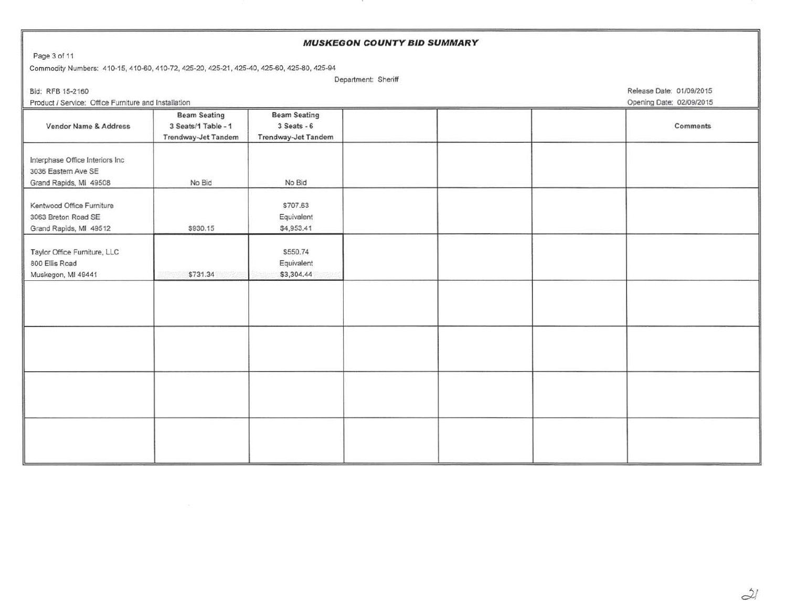| <b>MUSKEGON COUNTY BID SUMMARY</b>                                                        |                          |                     |  |  |  |                          |  |  |  |
|-------------------------------------------------------------------------------------------|--------------------------|---------------------|--|--|--|--------------------------|--|--|--|
| Page 3 of 11                                                                              |                          |                     |  |  |  |                          |  |  |  |
| Commodity Numbers: 410-15, 410-60, 410-72, 425-20, 425-21, 425-40, 425-60, 425-80, 425-94 |                          |                     |  |  |  |                          |  |  |  |
|                                                                                           | Department: Sheriff      |                     |  |  |  |                          |  |  |  |
| Bid: RFB 15-2160                                                                          | Release Date: 01/09/2015 |                     |  |  |  |                          |  |  |  |
| Product / Service: Office Furniture and Installation                                      |                          |                     |  |  |  | Opening Date: 02/09/2015 |  |  |  |
|                                                                                           | <b>Beam Seating</b>      | <b>Beam Seating</b> |  |  |  |                          |  |  |  |
| Vendor Name & Address                                                                     | 3 Seats/1 Table - 1      | $3$ Seats - $6$     |  |  |  | Comments                 |  |  |  |
|                                                                                           | Trendway-Jet Tandem      | Trendway-Jet Tandem |  |  |  |                          |  |  |  |
|                                                                                           |                          |                     |  |  |  |                          |  |  |  |
| Interphase Office Interiors Inc                                                           |                          |                     |  |  |  |                          |  |  |  |
| 3036 Eastern Ave SE                                                                       |                          |                     |  |  |  |                          |  |  |  |
| Grand Rapids, MI 49508                                                                    | No Bid                   | No Bid              |  |  |  |                          |  |  |  |
|                                                                                           |                          |                     |  |  |  |                          |  |  |  |
| Kentwood Office Furniture                                                                 |                          | \$707.63            |  |  |  |                          |  |  |  |
| 3063 Breton Road SE                                                                       |                          | Equivalent          |  |  |  |                          |  |  |  |
| Grand Rapids, MI 49512                                                                    | \$930.15                 | \$4,953.41          |  |  |  |                          |  |  |  |
|                                                                                           |                          |                     |  |  |  |                          |  |  |  |
| Taylor Office Furniture, LLC                                                              |                          | \$550.74            |  |  |  |                          |  |  |  |
| 800 Ellis Road                                                                            |                          | Equivalent          |  |  |  |                          |  |  |  |
| Muskegon, MI 49441                                                                        | \$731.34                 | \$3,304.44          |  |  |  |                          |  |  |  |
|                                                                                           |                          |                     |  |  |  |                          |  |  |  |
|                                                                                           |                          |                     |  |  |  |                          |  |  |  |
|                                                                                           |                          |                     |  |  |  |                          |  |  |  |
|                                                                                           |                          |                     |  |  |  |                          |  |  |  |
|                                                                                           |                          |                     |  |  |  |                          |  |  |  |
|                                                                                           |                          |                     |  |  |  |                          |  |  |  |
|                                                                                           |                          |                     |  |  |  |                          |  |  |  |
|                                                                                           |                          |                     |  |  |  |                          |  |  |  |
|                                                                                           |                          |                     |  |  |  |                          |  |  |  |
|                                                                                           |                          |                     |  |  |  |                          |  |  |  |
|                                                                                           |                          |                     |  |  |  |                          |  |  |  |
|                                                                                           |                          |                     |  |  |  |                          |  |  |  |
|                                                                                           |                          |                     |  |  |  |                          |  |  |  |
|                                                                                           |                          |                     |  |  |  |                          |  |  |  |
|                                                                                           |                          |                     |  |  |  |                          |  |  |  |

 $\dot{\mathcal{Z}}$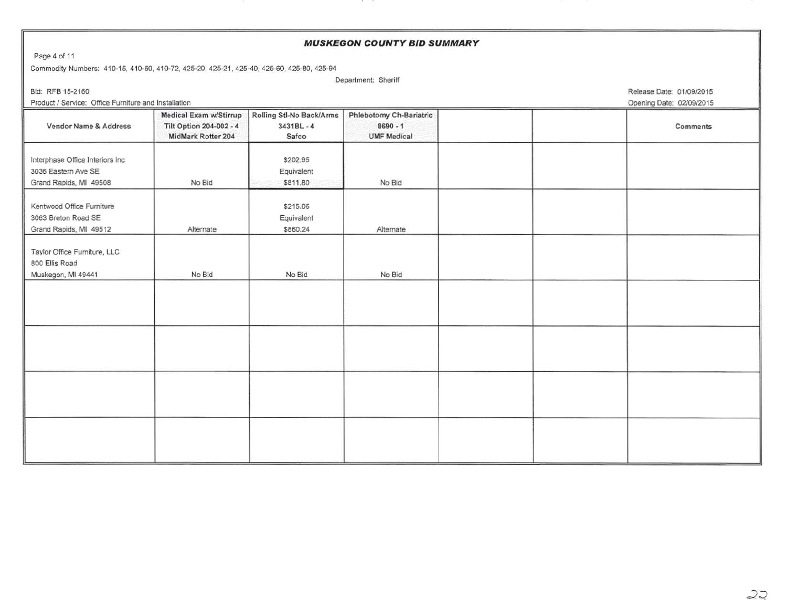# **MUSKEGON COUNTY BID SUMMARY**  Page 4 of 11 Commodity Numbers: 410-15, 410-60, 410-72, 425-20, 425-21, 425-40, 425-60, 425-80, 425-94 Department: Sheriff Bid: RFB 15-2160 Release Date: 01/09/2015 Product I Service: Office Furniture and Installation Opening Date: 02/09/2015 Medical Exam w/Stirrup | Rolling Stl-No Back/Arms | Phlebotomy Ch-Bariatric Vendor Name & Address Tilt Option 204-002 - 4 3431BL - 4 8690 - 1 8690 - 1 Comments MidMark Rotter 204 Safco UMF Medical Interphase Office Interiors Inc \$202.95 3036 Eastern Ave SE **Equivalent** Grand Rapids, MI 49508 No Bid **No Bid** \$811.80 No Bid **No Bid** \$811.80 Kentwood Office Furniture **\$215.06** \$215.06 3063 Breton Road SE **Equivalent Equivalent** Grand Rapids, MI 49512 **Alternate Alternate \$860.24** Alternate Taylor Office Furniture, LLC 800 Ellis Road Muskegon, Ml 49441 No Bid No Bid No Bid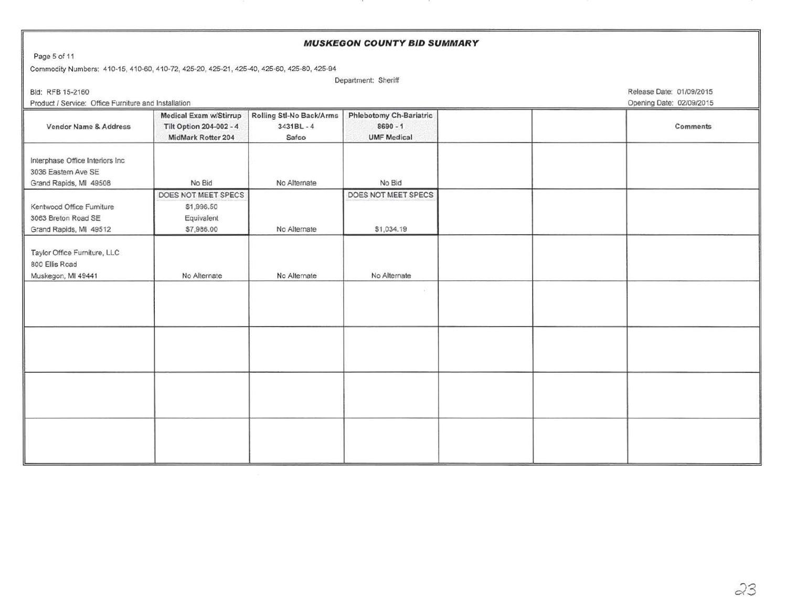# **MUSKEGON COUNTY BID SUMMARY**  Page 5 of 11 Commodity Numbers: 410-15, 410-60, 410-72, 425-20, 425-21, 425-40, 425-60, 425-80, 425-94 Department: Sheriff Bid: RFB 15-2160 Release Date: 01/09/2015 Product I Service: Office Furniture and Installation Opening Date: 02/09/2015 Medical Exam w/Stirrup Rolling Stl-No Back/Arms Phlebotomy Ch-Bariatric Vendor Name & Address Tilt Option 204-002 - 4 3431BL - 4 8690 - 1 8690 - 1 MidMark Rotter 204 Safco UMF Medical Interphase Office Interiors Inc 3036 Eastern Ave SE Grand Rapids, MI 49508 | No Bid | No Alternate | No Bid DOES NOT MEET SPECS **DOES NOT MEET SPECS** Kentwood Office Furniture \$1,996.50 3063 Breton Road SE Equivalent Grand Rapids, MI 49512 **67,986.00** No Alternate \$1,034.19 Taylor Office Furniture, LLC 800 Ellis Road Muskegon, Ml 49441 No Alternate No Alternate No Alternate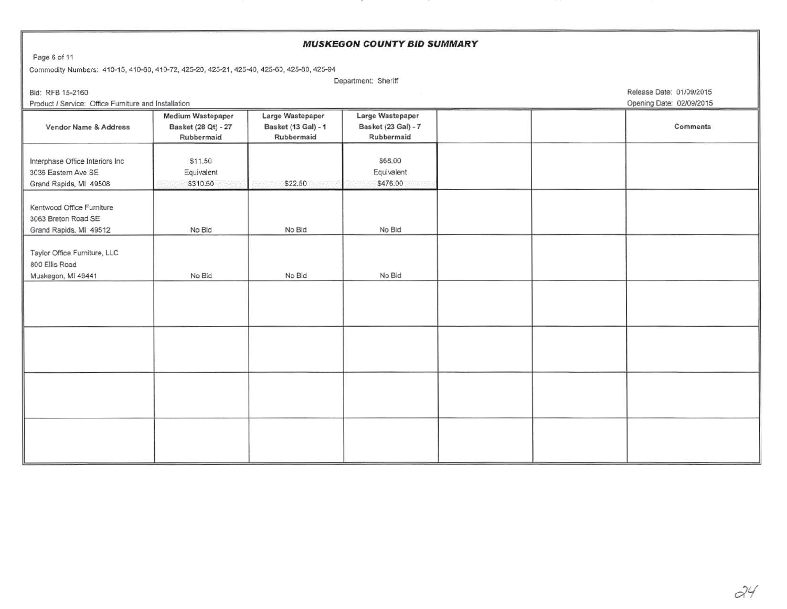| <b>MUSKEGON COUNTY BID SUMMARY</b>                                                        |                                                        |                                                       |                                                       |  |  |                          |  |  |  |
|-------------------------------------------------------------------------------------------|--------------------------------------------------------|-------------------------------------------------------|-------------------------------------------------------|--|--|--------------------------|--|--|--|
| Page 6 of 11                                                                              |                                                        |                                                       |                                                       |  |  |                          |  |  |  |
| Commodity Numbers: 410-15, 410-60, 410-72, 425-20, 425-21, 425-40, 425-60, 425-80, 425-94 |                                                        |                                                       |                                                       |  |  |                          |  |  |  |
|                                                                                           | Department: Sheriff                                    |                                                       |                                                       |  |  |                          |  |  |  |
| Bid: RFB 15-2160                                                                          |                                                        | Release Date: 01/09/2015                              |                                                       |  |  |                          |  |  |  |
| Product / Service: Office Furniture and Installation                                      |                                                        |                                                       |                                                       |  |  | Opening Date: 02/09/2015 |  |  |  |
| Vendor Name & Address                                                                     | Medium Wastepaper<br>Basket (28 Qt) - 27<br>Rubbermaid | Large Wastepaper<br>Basket (13 Gal) - 1<br>Rubbermaid | Large Wastepaper<br>Basket (23 Gal) - 7<br>Rubbermaid |  |  | Comments                 |  |  |  |
| Interphase Office Interiors Inc<br>3036 Eastern Ave SE<br>Grand Rapids, MI 49508          | \$11.50<br>Equivalent<br>\$310.50                      | \$22.50                                               | \$68,00<br>Equivalent<br>\$476.00                     |  |  |                          |  |  |  |
| Kentwood Office Furniture<br>3063 Breton Road SE<br>Grand Rapids, MI 49512                | No Bid                                                 | No Bid                                                | No Bid                                                |  |  |                          |  |  |  |
| Taylor Office Furniture, LLC<br>800 Ellis Road<br>Muskegon, MI 49441                      | No Bid                                                 | No Bid                                                | No Bid                                                |  |  |                          |  |  |  |
|                                                                                           |                                                        |                                                       |                                                       |  |  |                          |  |  |  |
|                                                                                           |                                                        |                                                       |                                                       |  |  |                          |  |  |  |
|                                                                                           |                                                        |                                                       |                                                       |  |  |                          |  |  |  |
|                                                                                           |                                                        |                                                       |                                                       |  |  |                          |  |  |  |

**A**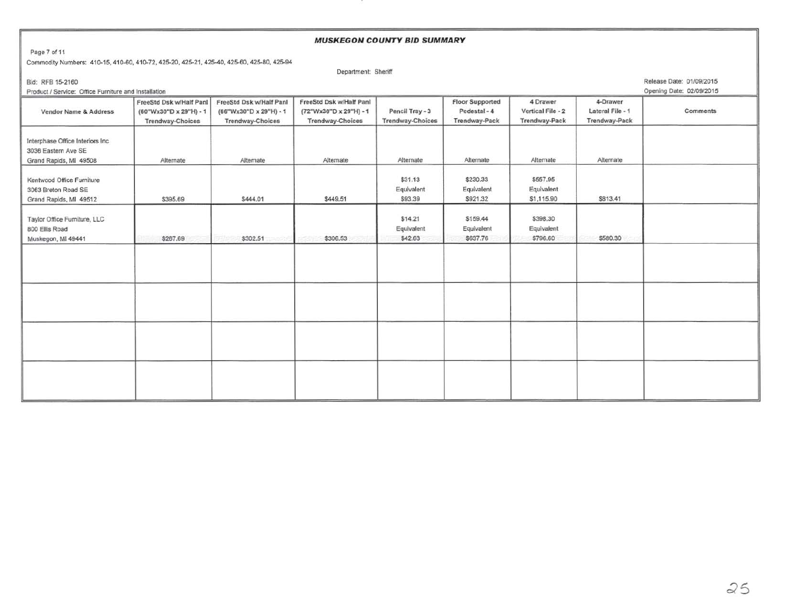## Page 7 of 11 Commodity Numbers: 410-15, 410-60, 410-72, 425-20, 425-21, 425-40, 425-60, 425-80, 425-94 Department: Sheriff Bid: RFB 15-2160 Release Date: 01/09/2015 Product I Service: Office Furniture and Installation Opening Date: 0210912015 FreeStd Dsk w/Half Panl PreeStd Dsk w/Half Panl FreeStd Dsk w/Half Panl Floor Supported 4 Drawer 4-Drawer 4-Drawer 4-Drawer 4-Drawer 4-Drawer 4-Drawer 4-Drawer 4-Drawer 4-Drawer 4-Drawer 4-Drawer 4-Drawer 4-Drawer 4-Drawer Vendor Name & Address (60"Wx30"D x 29"H) - 1 (66"Wx30"D x 29"H) - 1 (72"Wx30"D x 29"H) - 1 Pencil Tray - 3 Pedestal - 4 Vertical File - 2 Lateral File - 1 Comments Trendway-Choices Trendway-Choices Trendway-Choices Trendway-Choices Trendway-Pack Trendway-Pack Trendway-Pack Interphase Office Interiors Inc 3036 Eastern Ave SE Grand Rapids, MI 49508 Alternate Alternate Alternate Alternate Alternate Alternate Alternate Alternate Alternate Alternate Alternate Kentwood Office Furniture **\$230.33** \$557.95 3063 Breton Road SE Equivalent Equivalent Equivalent Grand Rapids, MI 49512 **\$395.69** \$344.01 \$444.01 \$449.51 \$93.39 \$921.32 \$1,115.90 \$813.41 Taylor Office Furniture, LLC \$14.21 \$14.21 \$159.44 \$398.30 800 Ellis Road **Equivalent Equivalent Equivalent** Equivalent Equivalent Equivalent Equivalent Equivalent Equivalent Muskegon, MI 49441 \$267.69 \$302.51 \$300.53 \$306.53 \$42.63 \$637.76 \$796.60 \$796.60 \$580.30

**MUSKEGON COUNTY BID SUMMARY**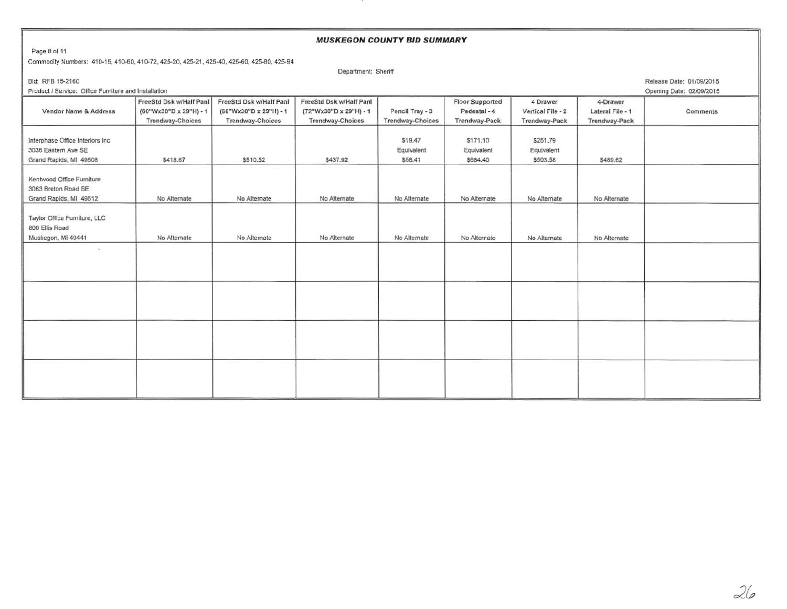#### **MUSKEGON COUNTY BID SUMMARY**

Page 8 of 11

#### Commodity Numbers: 410-15, 410-60, 410-72, 425-20, 425-21, 425-40, 425-60, 425-80, 425-94

Department: Sheriff

Bid: RFB 15-2160 Release Date: 01/09/2015

Product I Service: Office Furniture and Installation Opening Date: 0210912015

|                                                                                  |                                                                              |                                                                              |                                                                       |                                            |                                                         |                                                |                                               | as he was as the company of the company of the company of the company of the company of the company of the company of the company of the company of the company of the company of the company of the company of the company of |
|----------------------------------------------------------------------------------|------------------------------------------------------------------------------|------------------------------------------------------------------------------|-----------------------------------------------------------------------|--------------------------------------------|---------------------------------------------------------|------------------------------------------------|-----------------------------------------------|--------------------------------------------------------------------------------------------------------------------------------------------------------------------------------------------------------------------------------|
| <b>Vendor Name &amp; Address</b>                                                 | FreeStd Dsk w/Half Panl<br>(60"Wx30"D x 29"H) - 1<br><b>Trendway-Choices</b> | FreeStd Dsk w/Half Panl<br>(66"Wx30"D x 29"H) - 1<br><b>Trendway-Choices</b> | FreeStd Dsk w/Half Panl<br>(72"Wx30"D x 29"H) - 1<br>Trendway-Choices | Pencil Tray - 3<br><b>Trendway-Choices</b> | <b>Floor Supported</b><br>Pedestal - 4<br>Trendway-Pack | 4 Drawer<br>Vertical File - 2<br>Trendway-Pack | 4-Drawer<br>Lateral File - 1<br>Trendway-Pack | Comments                                                                                                                                                                                                                       |
| Interphase Office Interiors Inc<br>3036 Eastern Ave SE<br>Grand Rapids, MI 49508 | \$418.67                                                                     | \$510.52                                                                     | \$437.92                                                              | \$19.47<br>Equivalent<br>\$58,41           | \$171.10<br>Equivalent<br>\$684.40                      | \$251.79<br>Equivalent<br>\$503.58             | \$489.62                                      |                                                                                                                                                                                                                                |
| Kentwood Office Furniture<br>3063 Breton Road SE<br>Grand Rapids, MI 49512       | No Alternate                                                                 | No Alternate                                                                 | No Alternate                                                          | No Alternate                               | No Alternate                                            | No Alternate                                   | No Alternate                                  |                                                                                                                                                                                                                                |
| Taylor Office Furniture, LLC<br>800 Ellis Road<br>Muskegon, MI 49441             | No Alternate                                                                 | No Alternate                                                                 | No Alternate                                                          | No Alternate                               | No Alternate                                            | No Alternate                                   | No Alternate                                  |                                                                                                                                                                                                                                |
| $\overline{\phantom{a}}$                                                         |                                                                              |                                                                              |                                                                       |                                            |                                                         |                                                |                                               |                                                                                                                                                                                                                                |
|                                                                                  |                                                                              |                                                                              |                                                                       |                                            |                                                         |                                                |                                               |                                                                                                                                                                                                                                |
|                                                                                  |                                                                              |                                                                              |                                                                       |                                            |                                                         |                                                |                                               |                                                                                                                                                                                                                                |
|                                                                                  |                                                                              |                                                                              |                                                                       |                                            |                                                         |                                                |                                               |                                                                                                                                                                                                                                |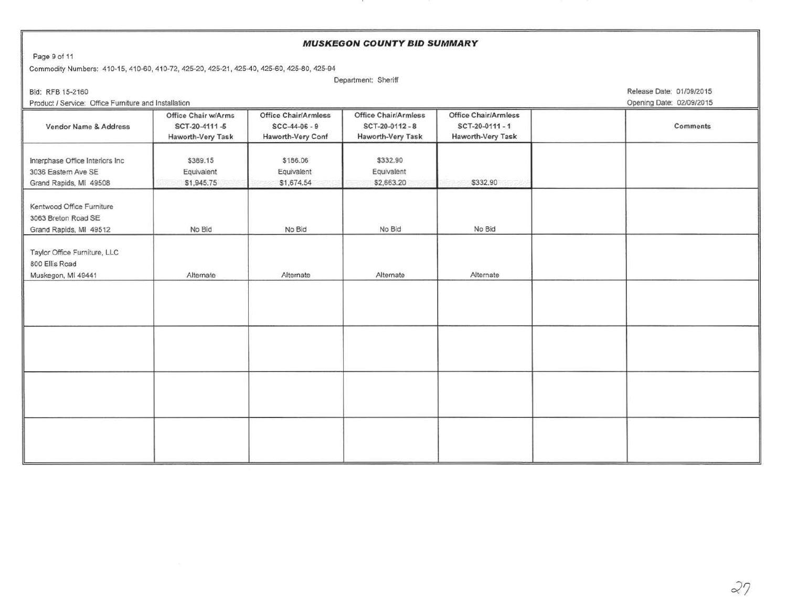#### **MUSKEGON COUNTY BID SUMMARY**

Page 9 of 11

Commodity Numbers: 410-15, 410·60, 410-72,425-20,425-21,425-40,425-60,425-80,425-94

Department: Sheriff

Product I Service: Office Furniture and Installation Opening Date: 02/09/2015

Bid: RFB 15-2160 Release Date: 01/09/2015

| <b>Vendor Name &amp; Address</b>                                                 | Office Chair w/Arms<br>SCT-20-4111-5<br>Haworth-Very Task | <b>Office Chair/Armless</b><br>$SCC-44-06-9$<br>Haworth-Very Conf | <b>Office Chair/Armless</b><br>SCT-20-0112-8<br>Haworth-Very Task | <b>Office Chair/Armless</b><br>SCT-20-0111-1<br>Haworth-Very Task | Comments |
|----------------------------------------------------------------------------------|-----------------------------------------------------------|-------------------------------------------------------------------|-------------------------------------------------------------------|-------------------------------------------------------------------|----------|
| Interphase Office Interiors Inc<br>3036 Eastern Ave SE<br>Grand Rapids, MI 49508 | \$389.15<br>Equivalent<br>\$1,945.75                      | \$186.06<br>Equivalent<br>\$1,674.54                              | \$332.90<br>Equivalent<br>\$2,663.20                              | \$332.90                                                          |          |
| Kentwood Office Furniture<br>3063 Breton Road SE<br>Grand Rapids, MI 49512       | No Bid                                                    | No Bid                                                            | No Bid                                                            | No Bid                                                            |          |
| Taylor Office Furniture, LLC<br>800 Ellis Road<br>Muskegon, MI 49441             | Alternate                                                 | Alternate                                                         | Alternate                                                         | Alternate                                                         |          |
|                                                                                  |                                                           |                                                                   |                                                                   |                                                                   |          |
|                                                                                  |                                                           |                                                                   |                                                                   |                                                                   |          |
|                                                                                  |                                                           |                                                                   |                                                                   |                                                                   |          |
|                                                                                  |                                                           |                                                                   |                                                                   |                                                                   |          |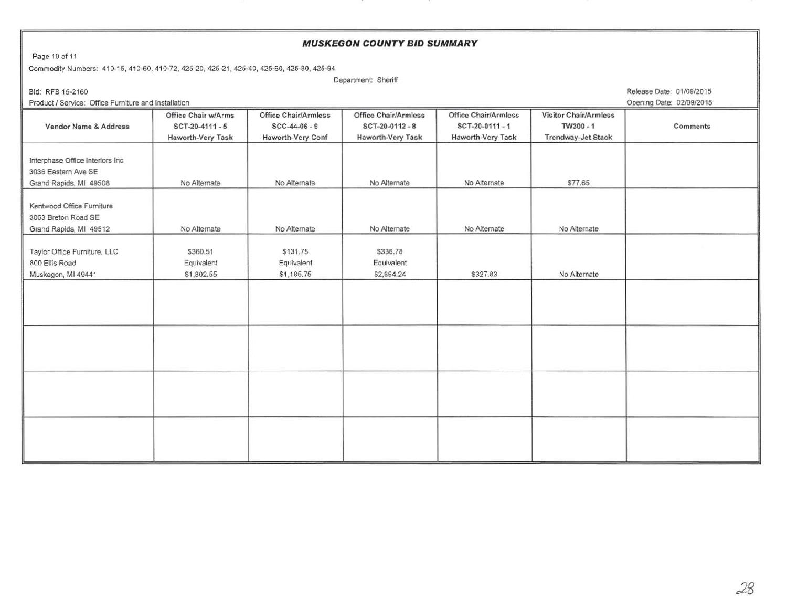### **MUSKEGON COUNTY BID SUMMARY**

Page 10 of 11

Commodity Numbers: 410-15, 410-60, 410-72, 425-20, 425-21, 425-40, 425-60, 425-80, 425-94

Department: Sheriff

Product I Service: Office Furniture and Installation Opening Date: 02/09/2015

Bid: RFB 15-2160 Release Date: 01/09/2015

|                                  |                     |                             |                      |                             |                              | $-$      |
|----------------------------------|---------------------|-----------------------------|----------------------|-----------------------------|------------------------------|----------|
|                                  | Office Chair w/Arms | <b>Office Chair/Armless</b> | Office Chair/Armless | <b>Office Chair/Armless</b> | <b>Visitor Chair/Armless</b> |          |
| Vendor Name & Address            | $SCT-20-4111-5$     | $SCC-44-06-9$               | SCT-20-0112-8        | SCT-20-0111-1               | TW300-1                      | Comments |
|                                  | Haworth-Very Task   | Haworth-Very Conf           | Haworth-Very Task    | Haworth-Very Task           | Trendway-Jet Stack           |          |
|                                  |                     |                             |                      |                             |                              |          |
| Interphase Office Interiors Inc. |                     |                             |                      |                             |                              |          |
| 3036 Eastern Ave SE              |                     |                             |                      |                             |                              |          |
| Grand Rapids, MI 49508           | No Alternate        | No Alternate                | No Alternate         | No Alternate                | \$77.65                      |          |
|                                  |                     |                             |                      |                             |                              |          |
| Kentwood Office Furniture        |                     |                             |                      |                             |                              |          |
| 3063 Breton Road SE              |                     |                             |                      |                             |                              |          |
| Grand Rapids, MI 49512           | No Alternate        | No Alternate                | No Alternate         | No Alternate                | No Alternate                 |          |
|                                  |                     |                             |                      |                             |                              |          |
| Taylor Office Furniture, LLC     | \$360.51            | \$131.75                    | \$336.78             |                             |                              |          |
| 800 Ellis Road                   | Equivalent          | Equivalent                  | Equivalent           |                             |                              |          |
| Muskegon, MI 49441               | \$1,802.55          | \$1,185.75                  | \$2,694.24           | \$327.83                    | No Alternate                 |          |
|                                  |                     |                             |                      |                             |                              |          |
|                                  |                     |                             |                      |                             |                              |          |
|                                  |                     |                             |                      |                             |                              |          |
|                                  |                     |                             |                      |                             |                              |          |
|                                  |                     |                             |                      |                             |                              |          |
|                                  |                     |                             |                      |                             |                              |          |
|                                  |                     |                             |                      |                             |                              |          |
|                                  |                     |                             |                      |                             |                              |          |
|                                  |                     |                             |                      |                             |                              |          |
|                                  |                     |                             |                      |                             |                              |          |
|                                  |                     |                             |                      |                             |                              |          |
|                                  |                     |                             |                      |                             |                              |          |
|                                  |                     |                             |                      |                             |                              |          |
|                                  |                     |                             |                      |                             |                              |          |
|                                  |                     |                             |                      |                             |                              |          |
|                                  |                     |                             |                      |                             |                              |          |